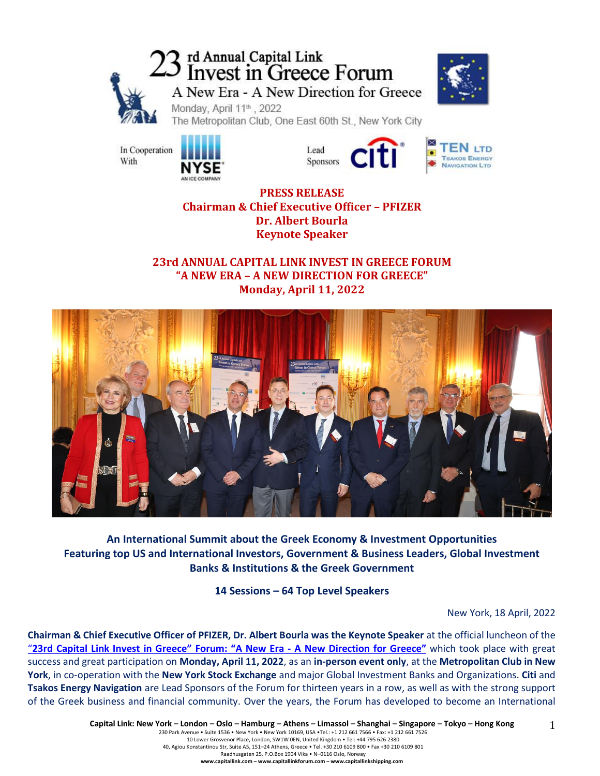# 23 rd Annual Capital Link<br>23 Invest in Greece Forum A New Era - A New Direction for Greece



Monday, April 11<sup>th</sup>, 2022 The Metropolitan Club, One East 60th St., New York City



Lead Sponsors



**PRESS RELEASE Chairman & Chief Executive Officer – PFIZER Dr. Albert Bourla Keynote Speaker**

**23rd ANNUAL CAPITAL LINK INVEST IN GREECE FORUM "Α ΝΕW ERA – A NEW DIRECTION FOR GREECE" Monday, April 11, 2022**



**An International Summit about the Greek Economy & Investment Opportunities Featuring top US and International Investors, Government & Business Leaders, Global Investment Banks & Institutions & the Greek Government**

**14 Sessions – 64 Top Level Speakers**

New York, 18 April, 2022

**Chairman & Chief Executive Officer of PFIZER, Dr. Albert Bourla was the Keynote Speaker** at the official luncheon of the "23rd Capital Link Invest in Greece" Forum: "A New Era - A New [Direction](https://forums.capitallink.com/greece/2021/) for Greece" which took place with great success and great participation on **Monday, April 11, 2022**, as an **in-person event only**, at the **Metropolitan Club in New York**, in co-operation with the **New York Stock Exchange** and major Global Investment Banks and Organizations. **Citi** and **Tsakos Energy Navigation** are Lead Sponsors of the Forum for thirteen years in a row, as well as with the strong support of the Greek business and financial community. Over the years, the Forum has developed to become an International

1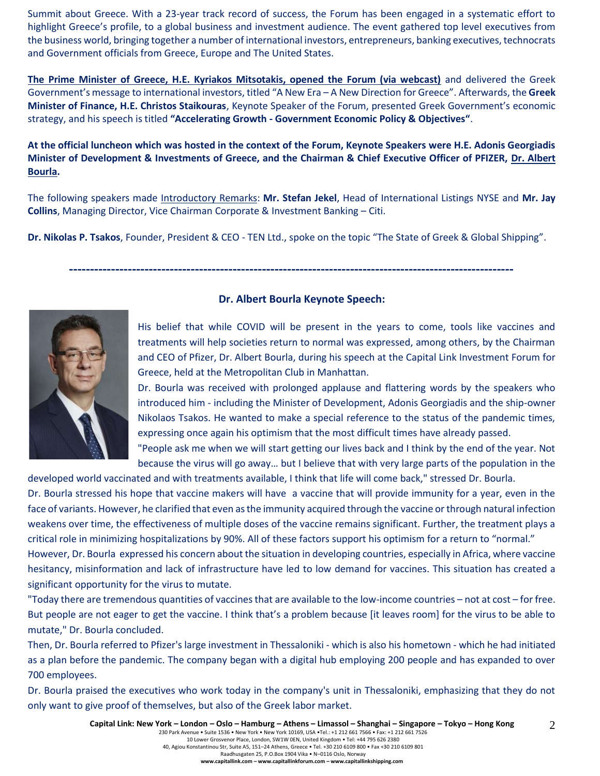Summit about Greece. With a 23-year track record of success, the Forum has been engaged in a systematic effort to highlight Greece's profile, to a global business and investment audience. The event gathered top level executives from the business world, bringing together a number of international investors, entrepreneurs, banking executives, technocrats and Government officials from Greece, Europe and The United States.

**The Prime Minister of Greece, H.E. Kyriakos Mitsotakis, opened the Forum (via webcast)** and delivered the Greek Government's message to international investors, titled "A New Era – A New Direction for Greece". Afterwards, the **Greek Minister of Finance, H.E. Christos Staikouras**, Keynote Speaker of the Forum, presented Greek Government's economic strategy, and his speech is titled **"Accelerating Growth - Government Economic Policy & Objectives"**.

**At the official luncheon which was hosted in the context of the Forum, Keynote Speakers were H.E. Adonis Georgiadis Minister of Development & Investments of Greece, and the Chairman & Chief Executive Officer of PFIZER, Dr. Albert Bourla.**

The following speakers made Introductory Remarks: **Mr. Stefan Jekel**, Head of International Listings NYSE and **Mr. Jay Collins**, Managing Director, Vice Chairman Corporate & Investment Banking – Citi.

**Dr. Nikolas P. Tsakos**, Founder, President & CEO - TEN Ltd., spoke on the topic "The State of Greek & Global Shipping".

**----------------------------------------------------------------------------------------------------------**



#### **Dr. Albert Bourla Keynote Speech:**

His belief that while COVID will be present in the years to come, tools like vaccines and treatments will help societies return to normal was expressed, among others, by the Chairman and CEO of Pfizer, Dr. Albert Bourla, during his speech at the Capital Link Investment Forum for Greece, held at the Metropolitan Club in Manhattan.

Dr. Bourla was received with prolonged applause and flattering words by the speakers who introduced him - including the Minister of Development, Adonis Georgiadis and the ship-owner Nikolaos Tsakos. He wanted to make a special reference to the status of the pandemic times, expressing once again his optimism that the most difficult times have already passed.

"People ask me when we will start getting our lives back and I think by the end of the year. Not because the virus will go away… but I believe that with very large parts of the population in the developed world vaccinated and with treatments available, I think that life will come back," stressed Dr. Bourla.

Dr. Bourla stressed his hope that vaccine makers will have a vaccine that will provide immunity for a year, even in the face of variants. However, he clarified that even as the immunity acquired through the vaccine or through natural infection weakens over time, the effectiveness of multiple doses of the vaccine remains significant. Further, the treatment plays a critical role in minimizing hospitalizations by 90%. All of these factors support his optimism for a return to "normal."

However, Dr. Bourla expressed his concern about the situation in developing countries, especially in Africa, where vaccine hesitancy, misinformation and lack of infrastructure have led to low demand for vaccines. This situation has created a significant opportunity for the virus to mutate.

"Today there are tremendous quantities of vaccines that are available to the low-income countries – not at cost – for free. But people are not eager to get the vaccine. I think that's a problem because [it leaves room] for the virus to be able to mutate," Dr. Bourla concluded.

Then, Dr. Bourla referred to Pfizer's large investment in Thessaloniki - which is also his hometown - which he had initiated as a plan before the pandemic. The company began with a digital hub employing 200 people and has expanded to over 700 employees.

Dr. Bourla praised the executives who work today in the company's unit in Thessaloniki, emphasizing that they do not only want to give proof of themselves, but also of the Greek labor market.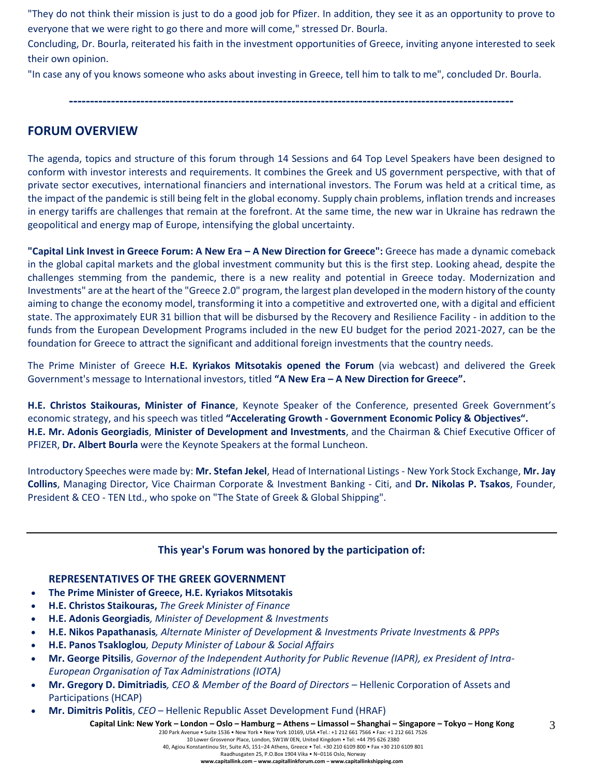"They do not think their mission is just to do a good job for Pfizer. In addition, they see it as an opportunity to prove to everyone that we were right to go there and more will come," stressed Dr. Bourla.

Concluding, Dr. Bourla, reiterated his faith in the investment opportunities of Greece, inviting anyone interested to seek their own opinion.

"In case any of you knows someone who asks about investing in Greece, tell him to talk to me", concluded Dr. Bourla.

**----------------------------------------------------------------------------------------------------------**

# **FORUM OVERVIEW**

The agenda, topics and structure of this forum through 14 Sessions and 64 Top Level Speakers have been designed to conform with investor interests and requirements. It combines the Greek and US government perspective, with that of private sector executives, international financiers and international investors. The Forum was held at a critical time, as the impact of the pandemic is still being felt in the global economy. Supply chain problems, inflation trends and increases in energy tariffs are challenges that remain at the forefront. At the same time, the new war in Ukraine has redrawn the geopolitical and energy map of Europe, intensifying the global uncertainty.

**"Capital Link Invest in Greece Forum: A New Era – A New Direction for Greece":** Greece has made a dynamic comeback in the global capital markets and the global investment community but this is the first step. Looking ahead, despite the challenges stemming from the pandemic, there is a new reality and potential in Greece today. Modernization and Investments" are at the heart of the "Greece 2.0" program, the largest plan developed in the modern history of the county aiming to change the economy model, transforming it into a competitive and extroverted one, with a digital and efficient state. The approximately EUR 31 billion that will be disbursed by the Recovery and Resilience Facility - in addition to the funds from the European Development Programs included in the new EU budget for the period 2021-2027, can be the foundation for Greece to attract the significant and additional foreign investments that the country needs.

The Prime Minister of Greece **H.E. Kyriakos Mitsotakis opened the Forum** (via webcast) and delivered the Greek Government's message to International investors, titled **"A New Era – A New Direction for Greece".**

**H.E. Christos Staikouras, Minister of Finance**, Keynote Speaker of the Conference, presented Greek Government's economic strategy, and his speech was titled **"Accelerating Growth - Government Economic Policy & Objectives". H.E. Mr. Adonis Georgiadis**, **Minister of Development and Investments**, and the Chairman & Chief Executive Officer of PFIZER, **Dr. Albert Bourla** were the Keynote Speakers at the formal Luncheon.

Introductory Speeches were made by: **Mr. Stefan Jekel**, Head of International Listings - New York Stock Exchange, **Mr. Jay Collins**, Managing Director, Vice Chairman Corporate & Investment Banking - Citi, and **Dr. Nikolas P. Tsakos**, Founder, President & CEO - TEN Ltd., who spoke on "The State of Greek & Global Shipping".

# **This year's Forum was honored by the participation of:**

#### **REPRESENTATIVES OF THE GREEK GOVERNMENT**

- **The Prime Minister of Greece, H.E. Kyriakos Mitsotakis**
- **H.E. Christos Staikouras,** *The Greek Minister of Finance*
- **H.E. Adonis Georgiadis***, Minister of Development & Investments*
- **Η.Ε. Nikos Papathanasis***, Alternate Minister of Development & Investments Private Investments & PPPs*
- **H.E. Panos Tsakloglou***, Deputy Minister of Labour & Social Affairs*
- **Mr. George Pitsilis**, *Governor of the Independent Authority for Public Revenue (IAPR), ex President of Intra-European Organisation of Tax Administrations (IOTA)*
- **Mr. Gregory D. Dimitriadis***, CEO & Member of the Board of Directors –* Hellenic Corporation of Assets and Participations (HCAP)
- **Mr. Dimitris Politis**, *CEO* Hellenic Republic Asset Development Fund (HRAF)

Capital Link: New York - London - Oslo - Hamburg - Athens - Limassol - Shanghai - Singapore - Tokyo - Hong Kong

230 Park Avenue • Suite 1536 • New York • New York 10169, USA •Tel.: +1 212 661 7566 • Fax: +1 212 661 7526 10 Lower Grosvenor Place, London, SW1W 0EN, United Kingdom • Tel: +44 795 626 2380 40, Agiou Konstantinou Str, Suite A5, 151–24 Athens, Greece • Tel. +30 210 6109 800 • Fax +30 210 6109 801

Raadhusgaten 25, P.O.Box 1904 Vika • N–0116 Oslo, Norway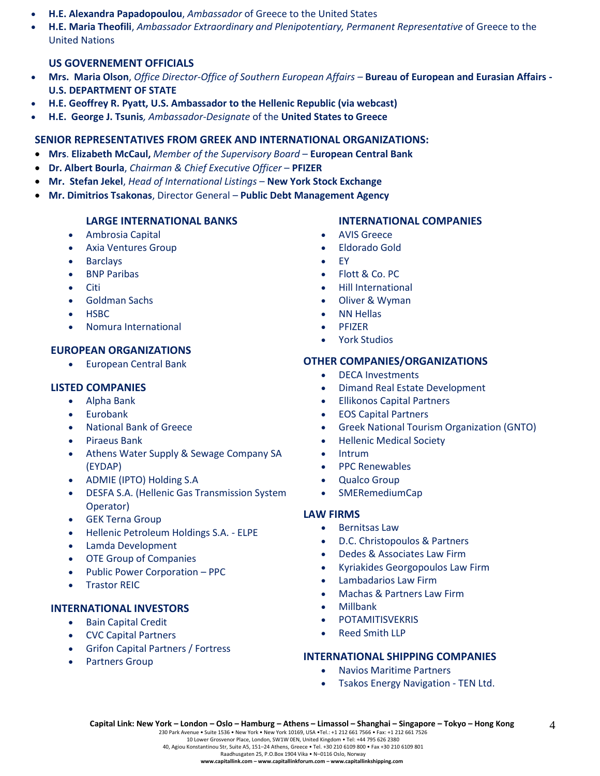- **H.E. Alexandra Papadopoulou**, *Ambassador* of Greece to the United States
- **H.E. Maria Theofili**, *Ambassador Extraordinary and Plenipotentiary, Permanent Representative* of Greece to the United Nations

# **US GOVERNEMENT OFFICIALS**

- **Mrs. Maria Olson**, *Office Director-Office of Southern European Affairs –* **Bureau of European and Eurasian Affairs - U.S. DEPARTMENT OF STATE**
- **H.E. Geoffrey R. Pyatt, U.S. Ambassador to the Hellenic Republic (via webcast)**
- **H.E. George J. Tsunis***, Ambassador-Designate* of the **United States to Greece**

# **SENIOR REPRESENTATIVES FROM GREEK AND INTERNATIONAL ORGANIZATIONS:**

- **Mrs**. **Elizabeth McCaul,** *Member of the Supervisory Board* **European Central Bank**
- **Dr. Albert Bourla**, *Chairman & Chief Executive Officer* **PFIZER**
- **Mr. Stefan Jekel**, *Head of International Listings* **New York Stock Exchange**
- **Mr. Dimitrios Tsakonas**, Director General **Public Debt Management Agency**

#### **LARGE INTERNATIONAL BANKS**

- Ambrosia Capital
- Axia Ventures Group
- **Barclays**
- **BNP Paribas**
- Citi
- Goldman Sachs
- HSBC
- Nomura International

### **EUROPEAN ORGANIZATIONS**

• European Central Bank

#### **LISTED COMPANIES**

- Alpha Bank
- **Eurobank**
- National Bank of Greece
- Piraeus Bank
- Athens Water Supply & Sewage Company SA (EYDAP)
- ADMIE (IPTO) Holding S.A
- DESFA S.A. (Hellenic Gas Transmission System Operator)
- GEK Terna Group
- Hellenic Petroleum Holdings S.A. ELPE
- Lamda Development
- OTE Group of Companies
- Public Power Corporation PPC
- **Trastor REIC**

#### **INTERNATIONAL INVESTORS**

- Bain Capital Credit
- CVC Capital Partners
- Grifon Capital Partners / Fortress
- Partners Group

#### **INTERNATIONAL COMPANIES**

- AVIS Greece
- Eldorado Gold
- EY
- Flott & Co. PC
- Hill International
- Oliver & Wyman
- NN Hellas
- PFIZER
- York Studios

#### **OTHER COMPANIES/ORGANIZATIONS**

- DECA Investments
- Dimand Real Estate Development
- Ellikonos Capital Partners
- EOS Capital Partners
- Greek National Tourism Organization (GNTO)
- Hellenic Medical Society
- Intrum
- PPC Renewables
- Qualco Group
- SMERemediumCap

#### **LAW FIRMS**

- Bernitsas Law
- D.C. Christopoulos & Partners
- Dedes & Associates Law Firm
- Kyriakides Georgopoulos Law Firm
- Lambadarios Law Firm
- Machas & Partners Law Firm
- Millbank
- **POTAMITISVEKRIS**
- Reed Smith LLP

#### **INTERNATIONAL SHIPPING COMPANIES**

- Navios Maritime Partners
- Tsakos Energy Navigation TEN Ltd.

230 Park Avenue • Suite 1536 • New York • New York 10169, USA •Tel.: +1 212 661 7566 • Fax: +1 212 661 7526 10 Lower Grosvenor Place, London, SW1W 0EN, United Kingdom • Tel: +44 795 626 2380

40, Agiou Konstantinou Str, Suite A5, 151–24 Athens, Greece • Tel. +30 210 6109 800 • Fax +30 210 6109 801

 $\Delta$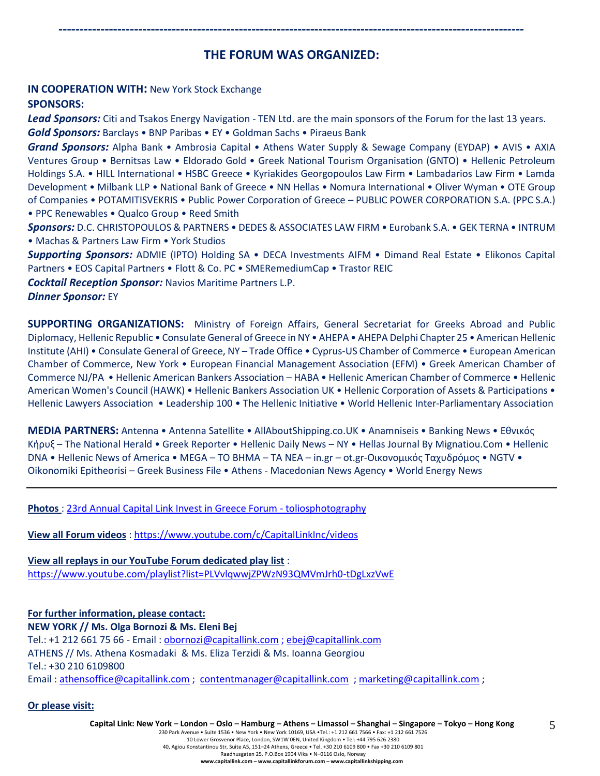# **THE FORUM WAS ORGANIZED:**

**---------------------------------------------------------------------------------------------------------------**

### **IN COOPERATION WITH:** New York Stock Exchange **SPONSORS:**

*Lead Sponsors:* Citi and Tsakos Energy Navigation - TEN Ltd. are the main sponsors of the Forum for the last 13 years. *Gold Sponsors:* Barclays • BNP Paribas • EY • Goldman Sachs • Piraeus Bank

*Grand Sponsors:* Alpha Bank • Ambrosia Capital • Athens Water Supply & Sewage Company (EYDAP) • AVIS • AXIA Ventures Group • Bernitsas Law • Eldorado Gold • Greek National Tourism Organisation (GNTO) • Hellenic Petroleum Holdings S.A. • HILL International • HSBC Greece • Kyriakides Georgopoulos Law Firm • Lambadarios Law Firm • Lamda Development • Milbank LLP • National Bank of Greece • NN Hellas • Nomura International • Oliver Wyman • OTE Group of Companies • POTAMITISVEKRIS • Public Power Corporation of Greece – PUBLIC POWER CORPORATION S.A. (PPC S.A.) • PPC Renewables • Qualco Group • Reed Smith

*Sponsors:* D.C. CHRISTOPOULOS & PARTNERS • DEDES & ASSOCIATES LAW FIRM • Eurobank S.A. • GEK TERNA • INTRUM • Machas & Partners Law Firm • York Studios

*Supporting Sponsors:* ADMIE (IPTO) Holding SA • DECA Investments AIFM • Dimand Real Estate • Elikonos Capital Partners • EOS Capital Partners • Flott & Co. PC • SMERemediumCap • Trastor REIC

*Cocktail Reception Sponsor:* Navios Maritime Partners L.P.

*Dinner Sponsor:* EY

**SUPPORTING ORGANIZATIONS:** Ministry of Foreign Affairs, General Secretariat for Greeks Abroad and Public Diplomacy, Hellenic Republic • Consulate General of Greece in NY • AHEPA • AHEPA Delphi Chapter 25 • American Hellenic Institute (AHI) • Consulate General of Greece, NY – Trade Office • Cyprus-US Chamber of Commerce • European American Chamber of Commerce, New York • European Financial Management Association (EFM) • Greek American Chamber of Commerce NJ/PA • Hellenic American Bankers Association – HABA • Hellenic American Chamber of Commerce • Hellenic American Women's Council (HAWK) • Hellenic Bankers Association UK • Hellenic Corporation of Assets & Participations • Hellenic Lawyers Association • Leadership 100 • The Hellenic Initiative • World Hellenic Inter-Parliamentary Association

**MEDIA PARTNERS:** Antenna • Antenna Satellite • AllAboutShipping.co.UK • Anamniseis • Banking News • Εθνικός Κήρυξ – The National Herald • Greek Reporter • Hellenic Daily News – NY • Hellas Journal By Mignatiou.Com • Hellenic DNA • Hellenic News of America • MEGA – TO BHMA – TA NEA – in.gr – ot.gr-Οικονομικός Ταχυδρόμος • NGTV • Oikonomiki Epitheorisi – Greek Business File • Athens - Macedonian News Agency • World Energy News

**Photos** : [23rd Annual Capital Link Invest in Greece Forum -](https://www.toliosphotography.com/ToliosEvents/CAPITAL-LINK-/23rd-Annual-Capital-Link-New-York-City/n-RHX6QD/) toliosphotography

**View all Forum videos** :<https://www.youtube.com/c/CapitalLinkInc/videos>

**View all replays in our YouTube Forum dedicated play list** : <https://www.youtube.com/playlist?list=PLVvlqwwjZPWzN93QMVmJrh0-tDgLxzVwE>

**For further information, please contact: NEW YORK // Ms. Olga Bornozi & Ms. Eleni Bej**  Tel.: +1 212 661 75 66 - Email : [obornozi@capitallink.com](mailto:obornozi@capitallink.com) [; ebej@capitallink.com](mailto:ebej@capitallink.com) ATHENS // Ms. Athena Kosmadaki & Ms. Eliza Terzidi & Ms. Ioanna Georgiou Tel.: +30 210 6109800 Email: [athensoffice@capitallink.com](mailto:athensoffice@capitallink.com) ; [contentmanager@capitallink.com](mailto:contentmanager@capitallink.com) ; marketing@capitallink.com ;

#### **Or please visit:**

Capital Link: New York - London - Oslo - Hamburg - Athens - Limassol - Shanghai - Singapore - Tokyo - Hong Kong

230 Park Avenue • Suite 1536 • New York • New York 10169, USA •Tel.: +1 212 661 7566 • Fax: +1 212 661 7526 10 Lower Grosvenor Place, London, SW1W 0EN, United Kingdom • Tel: +44 795 626 2380 40, Agiou Konstantinou Str, Suite A5, 151–24 Athens, Greece • Tel. +30 210 6109 800 • Fax +30 210 6109 801 Raadhusgaten 25, P.O.Box 1904 Vika • N–0116 Oslo, Norway **www.capitallink.com – www.capitallinkforum.com – www.capitallinkshipping.com**